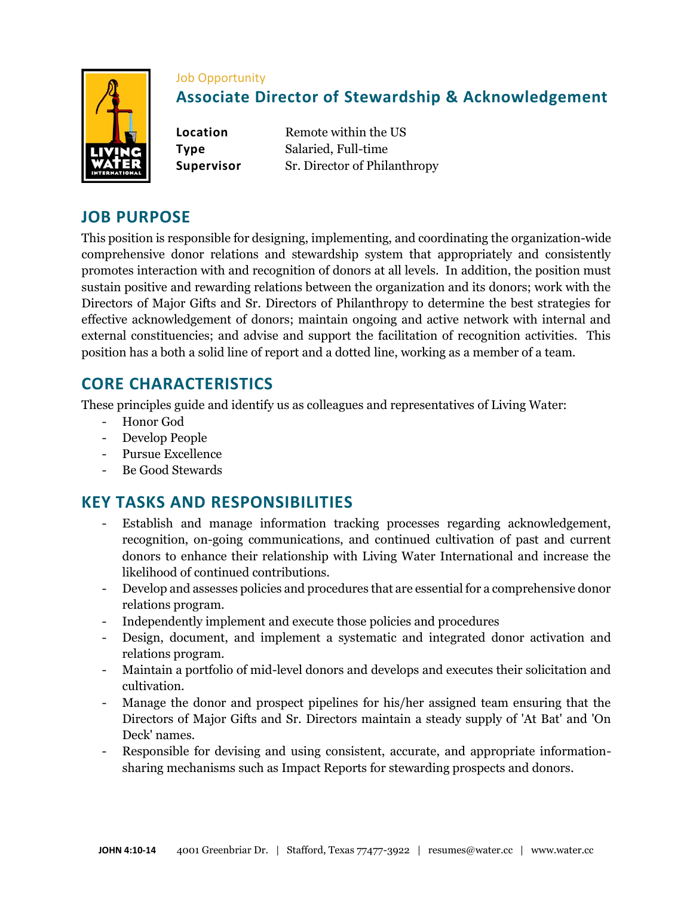

#### Job Opportunity

# **Associate Director of Stewardship & Acknowledgement**

**Location** Remote within the US **Type** Salaried, Full-time **Supervisor** Sr. Director of Philanthropy

## **JOB PURPOSE**

This position is responsible for designing, implementing, and coordinating the organization-wide comprehensive donor relations and stewardship system that appropriately and consistently promotes interaction with and recognition of donors at all levels. In addition, the position must sustain positive and rewarding relations between the organization and its donors; work with the Directors of Major Gifts and Sr. Directors of Philanthropy to determine the best strategies for effective acknowledgement of donors; maintain ongoing and active network with internal and external constituencies; and advise and support the facilitation of recognition activities. This position has a both a solid line of report and a dotted line, working as a member of a team.

## **CORE CHARACTERISTICS**

These principles guide and identify us as colleagues and representatives of Living Water:

- Honor God
- Develop People
- Pursue Excellence
- Be Good Stewards

## **KEY TASKS AND RESPONSIBILITIES**

- Establish and manage information tracking processes regarding acknowledgement, recognition, on-going communications, and continued cultivation of past and current donors to enhance their relationship with Living Water International and increase the likelihood of continued contributions.
- Develop and assesses policies and procedures that are essential for a comprehensive donor relations program.
- Independently implement and execute those policies and procedures
- Design, document, and implement a systematic and integrated donor activation and relations program.
- Maintain a portfolio of mid-level donors and develops and executes their solicitation and cultivation.
- Manage the donor and prospect pipelines for his/her assigned team ensuring that the Directors of Major Gifts and Sr. Directors maintain a steady supply of 'At Bat' and 'On Deck' names.
- Responsible for devising and using consistent, accurate, and appropriate informationsharing mechanisms such as Impact Reports for stewarding prospects and donors.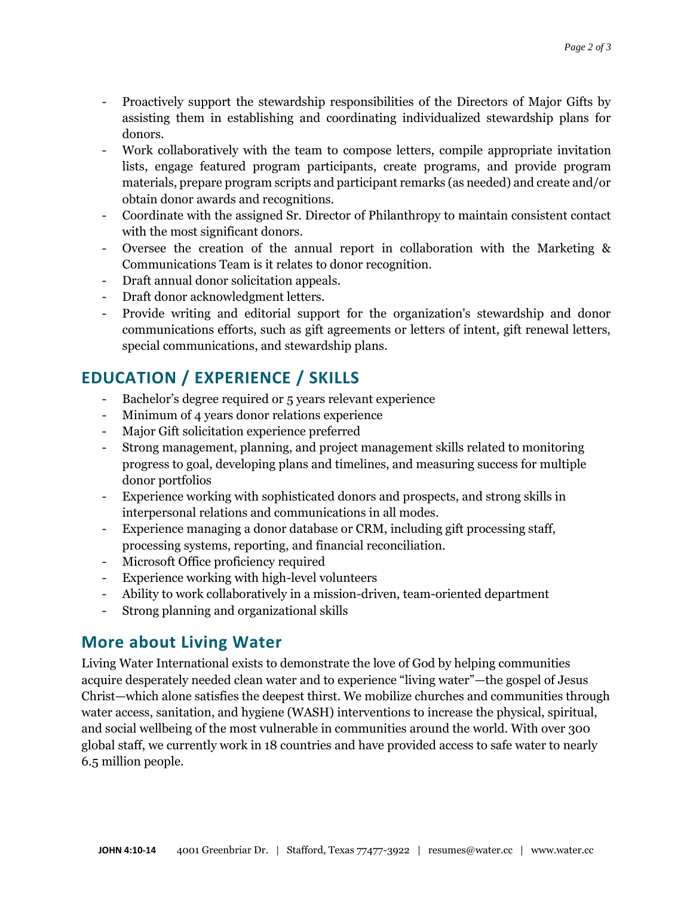- Proactively support the stewardship responsibilities of the Directors of Major Gifts by assisting them in establishing and coordinating individualized stewardship plans for donors.
- Work collaboratively with the team to compose letters, compile appropriate invitation lists, engage featured program participants, create programs, and provide program materials, prepare program scripts and participant remarks (as needed) and create and/or obtain donor awards and recognitions.
- Coordinate with the assigned Sr. Director of Philanthropy to maintain consistent contact with the most significant donors.
- Oversee the creation of the annual report in collaboration with the Marketing & Communications Team is it relates to donor recognition.
- Draft annual donor solicitation appeals.
- Draft donor acknowledgment letters.
- Provide writing and editorial support for the organization's stewardship and donor communications efforts, such as gift agreements or letters of intent, gift renewal letters, special communications, and stewardship plans.

# **EDUCATION / EXPERIENCE / SKILLS**

- Bachelor's degree required or 5 years relevant experience
- Minimum of 4 years donor relations experience
- Major Gift solicitation experience preferred
- Strong management, planning, and project management skills related to monitoring progress to goal, developing plans and timelines, and measuring success for multiple donor portfolios
- Experience working with sophisticated donors and prospects, and strong skills in interpersonal relations and communications in all modes.
- Experience managing a donor database or CRM, including gift processing staff, processing systems, reporting, and financial reconciliation.
- Microsoft Office proficiency required
- Experience working with high-level volunteers
- Ability to work collaboratively in a mission-driven, team-oriented department
- Strong planning and organizational skills

### **More about Living Water**

Living Water International exists to demonstrate the love of God by helping communities acquire desperately needed clean water and to experience "living water"—the gospel of Jesus Christ—which alone satisfies the deepest thirst. We mobilize churches and communities through water access, sanitation, and hygiene (WASH) interventions to increase the physical, spiritual, and social wellbeing of the most vulnerable in communities around the world. With over 300 global staff, we currently work in 18 countries and have provided access to safe water to nearly 6.5 million people.